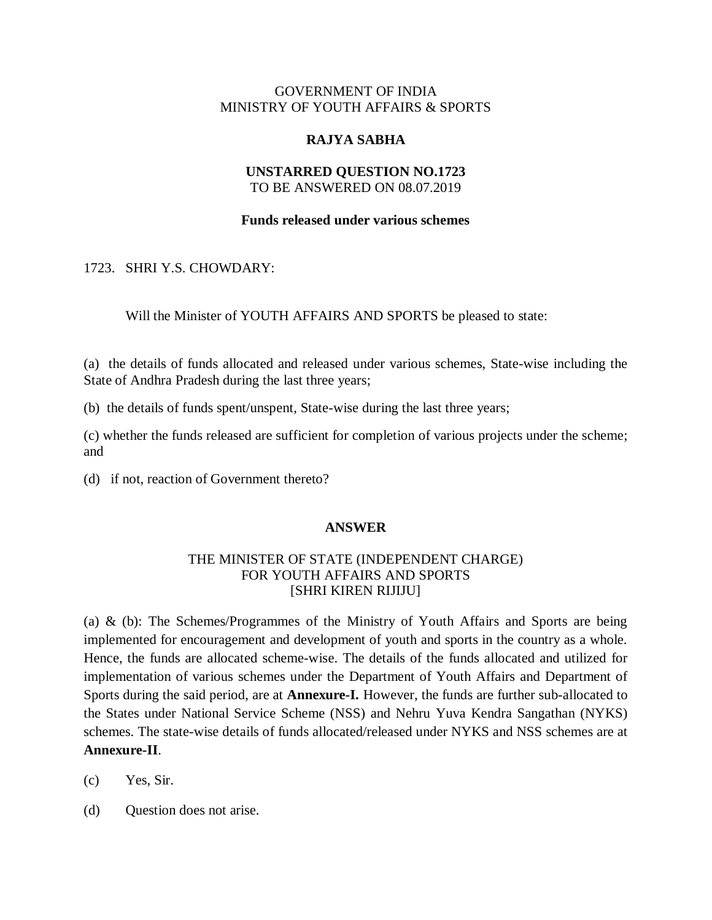## GOVERNMENT OF INDIA MINISTRY OF YOUTH AFFAIRS & SPORTS

## **RAJYA SABHA**

## **UNSTARRED QUESTION NO.1723** TO BE ANSWERED ON 08.07.2019

## **Funds released under various schemes**

## 1723. SHRI Y.S. CHOWDARY:

Will the Minister of YOUTH AFFAIRS AND SPORTS be pleased to state:

(a) the details of funds allocated and released under various schemes, State-wise including the State of Andhra Pradesh during the last three years;

(b) the details of funds spent/unspent, State-wise during the last three years;

(c) whether the funds released are sufficient for completion of various projects under the scheme; and

(d) if not, reaction of Government thereto?

## **ANSWER**

## THE MINISTER OF STATE (INDEPENDENT CHARGE) FOR YOUTH AFFAIRS AND SPORTS [SHRI KIREN RIJIJU]

(a) & (b): The Schemes/Programmes of the Ministry of Youth Affairs and Sports are being implemented for encouragement and development of youth and sports in the country as a whole. Hence, the funds are allocated scheme-wise. The details of the funds allocated and utilized for implementation of various schemes under the Department of Youth Affairs and Department of Sports during the said period, are at **Annexure-I.** However, the funds are further sub-allocated to the States under National Service Scheme (NSS) and Nehru Yuva Kendra Sangathan (NYKS) schemes. The state-wise details of funds allocated/released under NYKS and NSS schemes are at **Annexure-II**.

(c) Yes, Sir.

(d) Question does not arise.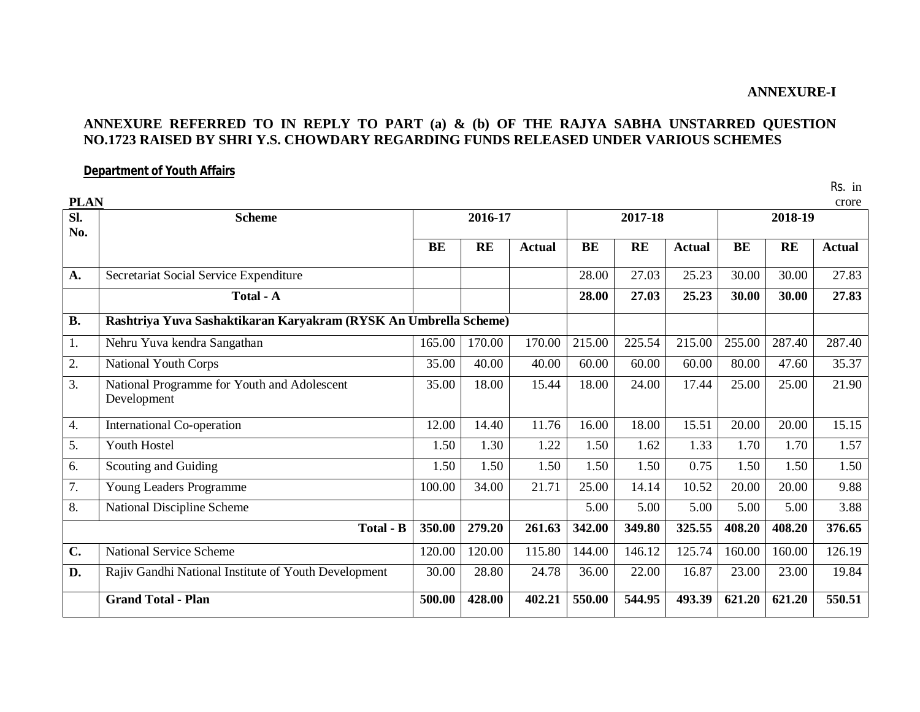## **ANNEXURE-I**

## **ANNEXURE REFERRED TO IN REPLY TO PART (a) & (b) OF THE RAJYA SABHA UNSTARRED QUESTION NO.1723 RAISED BY SHRI Y.S. CHOWDARY REGARDING FUNDS RELEASED UNDER VARIOUS SCHEMES**

## **Department of Youth Affairs**

Rs. in

| <b>PLAN</b>      |                                                                  |           |           |               |           |           |               |           |        | crore         |
|------------------|------------------------------------------------------------------|-----------|-----------|---------------|-----------|-----------|---------------|-----------|--------|---------------|
| Sl.<br>No.       | <b>Scheme</b>                                                    |           | 2016-17   |               |           | 2017-18   |               | 2018-19   |        |               |
|                  |                                                                  | <b>BE</b> | <b>RE</b> | <b>Actual</b> | <b>BE</b> | <b>RE</b> | <b>Actual</b> | <b>BE</b> | RE     | <b>Actual</b> |
| A.               | Secretariat Social Service Expenditure                           |           |           |               | 28.00     | 27.03     | 25.23         | 30.00     | 30.00  | 27.83         |
|                  | Total - A                                                        |           |           |               | 28.00     | 27.03     | 25.23         | 30.00     | 30.00  | 27.83         |
| <b>B.</b>        | Rashtriya Yuva Sashaktikaran Karyakram (RYSK An Umbrella Scheme) |           |           |               |           |           |               |           |        |               |
| 1.               | Nehru Yuva kendra Sangathan                                      | 165.00    | 170.00    | 170.00        | 215.00    | 225.54    | 215.00        | 255.00    | 287.40 | 287.40        |
| 2.               | <b>National Youth Corps</b>                                      | 35.00     | 40.00     | 40.00         | 60.00     | 60.00     | 60.00         | 80.00     | 47.60  | 35.37         |
| 3.               | National Programme for Youth and Adolescent<br>Development       | 35.00     | 18.00     | 15.44         | 18.00     | 24.00     | 17.44         | 25.00     | 25.00  | 21.90         |
| $\overline{4}$ . | International Co-operation                                       | 12.00     | 14.40     | 11.76         | 16.00     | 18.00     | 15.51         | 20.00     | 20.00  | 15.15         |
| 5.               | Youth Hostel                                                     | 1.50      | 1.30      | 1.22          | 1.50      | 1.62      | 1.33          | 1.70      | 1.70   | 1.57          |
| 6.               | Scouting and Guiding                                             | 1.50      | 1.50      | 1.50          | 1.50      | 1.50      | 0.75          | 1.50      | 1.50   | 1.50          |
| $\overline{7}$ . | Young Leaders Programme                                          | 100.00    | 34.00     | 21.71         | 25.00     | 14.14     | 10.52         | 20.00     | 20.00  | 9.88          |
| 8.               | <b>National Discipline Scheme</b>                                |           |           |               | 5.00      | 5.00      | 5.00          | 5.00      | 5.00   | 3.88          |
|                  | <b>Total - B</b>                                                 | 350.00    | 279.20    | 261.63        | 342.00    | 349.80    | 325.55        | 408.20    | 408.20 | 376.65        |
| $C_{\bullet}$    | <b>National Service Scheme</b>                                   | 120.00    | 120.00    | 115.80        | 144.00    | 146.12    | 125.74        | 160.00    | 160.00 | 126.19        |
| D.               | Rajiv Gandhi National Institute of Youth Development             | 30.00     | 28.80     | 24.78         | 36.00     | 22.00     | 16.87         | 23.00     | 23.00  | 19.84         |
|                  | <b>Grand Total - Plan</b>                                        | 500.00    | 428.00    | 402.21        | 550.00    | 544.95    | 493.39        | 621.20    | 621.20 | 550.51        |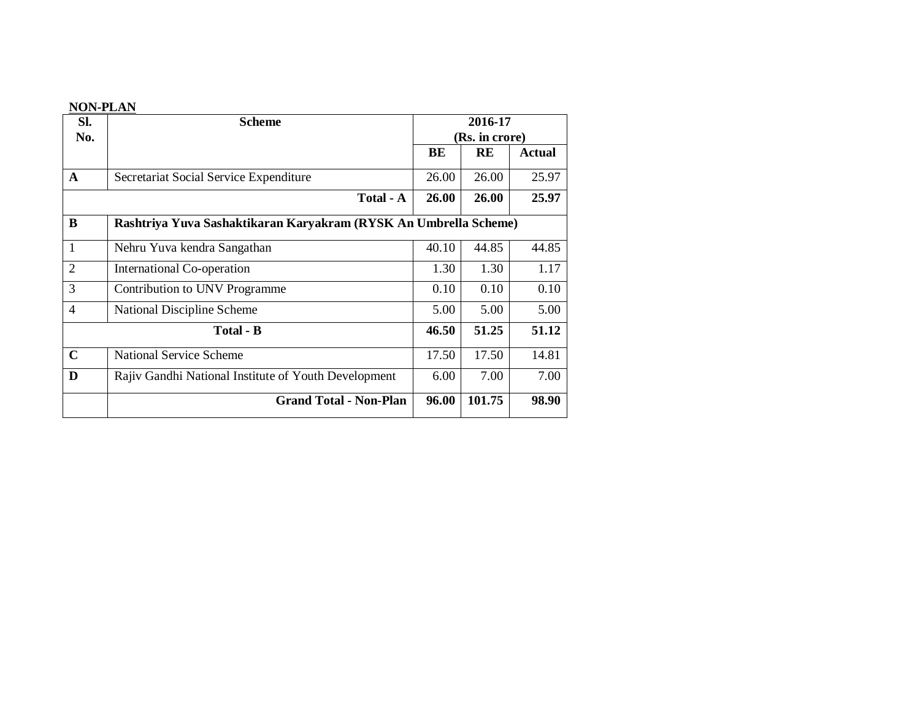## **NON-PLAN**

| Sl.            | <b>Scheme</b>                                                    | 2016-17 |                |               |  |  |
|----------------|------------------------------------------------------------------|---------|----------------|---------------|--|--|
| No.            |                                                                  |         | (Rs. in crore) |               |  |  |
|                |                                                                  | BE      | RE             | <b>Actual</b> |  |  |
| $\mathbf{A}$   | Secretariat Social Service Expenditure                           | 26.00   | 26.00          | 25.97         |  |  |
|                | Total - A                                                        | 26.00   | 26.00          | 25.97         |  |  |
| B              | Rashtriya Yuva Sashaktikaran Karyakram (RYSK An Umbrella Scheme) |         |                |               |  |  |
| 1              | Nehru Yuva kendra Sangathan                                      | 40.10   | 44.85          | 44.85         |  |  |
| $\overline{2}$ | International Co-operation                                       | 1.30    | 1.30           | 1.17          |  |  |
| 3              | Contribution to UNV Programme                                    | 0.10    | 0.10           | 0.10          |  |  |
| 4              | National Discipline Scheme                                       | 5.00    | 5.00           | 5.00          |  |  |
|                | <b>Total - B</b>                                                 | 46.50   | 51.25          | 51.12         |  |  |
| $\mathbf C$    | <b>National Service Scheme</b>                                   | 17.50   | 17.50          | 14.81         |  |  |
| D              | Rajiv Gandhi National Institute of Youth Development             | 6.00    | 7.00           | 7.00          |  |  |
|                | <b>Grand Total - Non-Plan</b>                                    | 96.00   | 101.75         | 98.90         |  |  |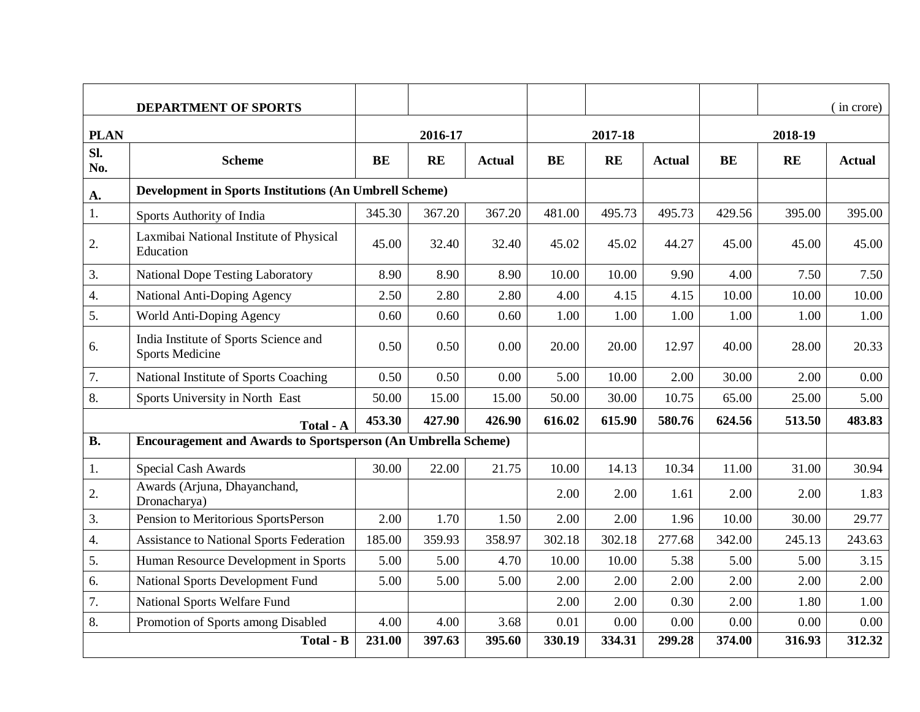|                  | <b>DEPARTMENT OF SPORTS</b>                                          |        |           |               |           |           |               |           |           | (in crore)    |  |
|------------------|----------------------------------------------------------------------|--------|-----------|---------------|-----------|-----------|---------------|-----------|-----------|---------------|--|
| <b>PLAN</b>      |                                                                      |        | 2016-17   |               |           | 2017-18   |               | 2018-19   |           |               |  |
| Sl.<br>No.       | <b>Scheme</b>                                                        | BE     | <b>RE</b> | <b>Actual</b> | <b>BE</b> | <b>RE</b> | <b>Actual</b> | <b>BE</b> | <b>RE</b> | <b>Actual</b> |  |
| A.               | <b>Development in Sports Institutions (An Umbrell Scheme)</b>        |        |           |               |           |           |               |           |           |               |  |
| 1.               | Sports Authority of India                                            | 345.30 | 367.20    | 367.20        | 481.00    | 495.73    | 495.73        | 429.56    | 395.00    | 395.00        |  |
| 2.               | Laxmibai National Institute of Physical<br>Education                 |        | 32.40     | 32.40         | 45.02     | 45.02     | 44.27         | 45.00     | 45.00     | 45.00         |  |
| 3.               | <b>National Dope Testing Laboratory</b>                              | 8.90   | 8.90      | 8.90          | 10.00     | 10.00     | 9.90          | 4.00      | 7.50      | 7.50          |  |
| $\overline{4}$ . | National Anti-Doping Agency                                          | 2.50   | 2.80      | 2.80          | 4.00      | 4.15      | 4.15          | 10.00     | 10.00     | 10.00         |  |
| 5.               | World Anti-Doping Agency                                             | 0.60   | 0.60      | 0.60          | 1.00      | 1.00      | 1.00          | 1.00      | 1.00      | 1.00          |  |
| 6.               | India Institute of Sports Science and<br><b>Sports Medicine</b>      | 0.50   | 0.50      | 0.00          | 20.00     | 20.00     | 12.97         | 40.00     | 28.00     | 20.33         |  |
| 7.               | National Institute of Sports Coaching                                | 0.50   | 0.50      | 0.00          | 5.00      | 10.00     | 2.00          | 30.00     | 2.00      | 0.00          |  |
| 8.               | Sports University in North East                                      | 50.00  | 15.00     | 15.00         | 50.00     | 30.00     | 10.75         | 65.00     | 25.00     | 5.00          |  |
|                  | Total - A                                                            | 453.30 | 427.90    | 426.90        | 616.02    | 615.90    | 580.76        | 624.56    | 513.50    | 483.83        |  |
| <b>B.</b>        | <b>Encouragement and Awards to Sportsperson (An Umbrella Scheme)</b> |        |           |               |           |           |               |           |           |               |  |
| 1.               | Special Cash Awards                                                  | 30.00  | 22.00     | 21.75         | 10.00     | 14.13     | 10.34         | 11.00     | 31.00     | 30.94         |  |
| 2.               | Awards (Arjuna, Dhayanchand,<br>Dronacharya)                         |        |           |               | 2.00      | 2.00      | 1.61          | 2.00      | 2.00      | 1.83          |  |
| 3.               | Pension to Meritorious SportsPerson                                  | 2.00   | 1.70      | 1.50          | 2.00      | 2.00      | 1.96          | 10.00     | 30.00     | 29.77         |  |
| $\overline{4}$ . | <b>Assistance to National Sports Federation</b>                      | 185.00 | 359.93    | 358.97        | 302.18    | 302.18    | 277.68        | 342.00    | 245.13    | 243.63        |  |
| 5.               | Human Resource Development in Sports                                 | 5.00   | 5.00      | 4.70          | 10.00     | 10.00     | 5.38          | 5.00      | 5.00      | 3.15          |  |
| 6.               | National Sports Development Fund                                     | 5.00   | 5.00      | 5.00          | 2.00      | 2.00      | 2.00          | 2.00      | 2.00      | 2.00          |  |
| 7.               | <b>National Sports Welfare Fund</b>                                  |        |           |               | 2.00      | 2.00      | 0.30          | 2.00      | 1.80      | 1.00          |  |
| 8.               | Promotion of Sports among Disabled                                   |        | 4.00      | 3.68          | 0.01      | 0.00      | 0.00          | 0.00      | 0.00      | 0.00          |  |
|                  | Total - B                                                            | 231.00 | 397.63    | 395.60        | 330.19    | 334.31    | 299.28        | 374.00    | 316.93    | 312.32        |  |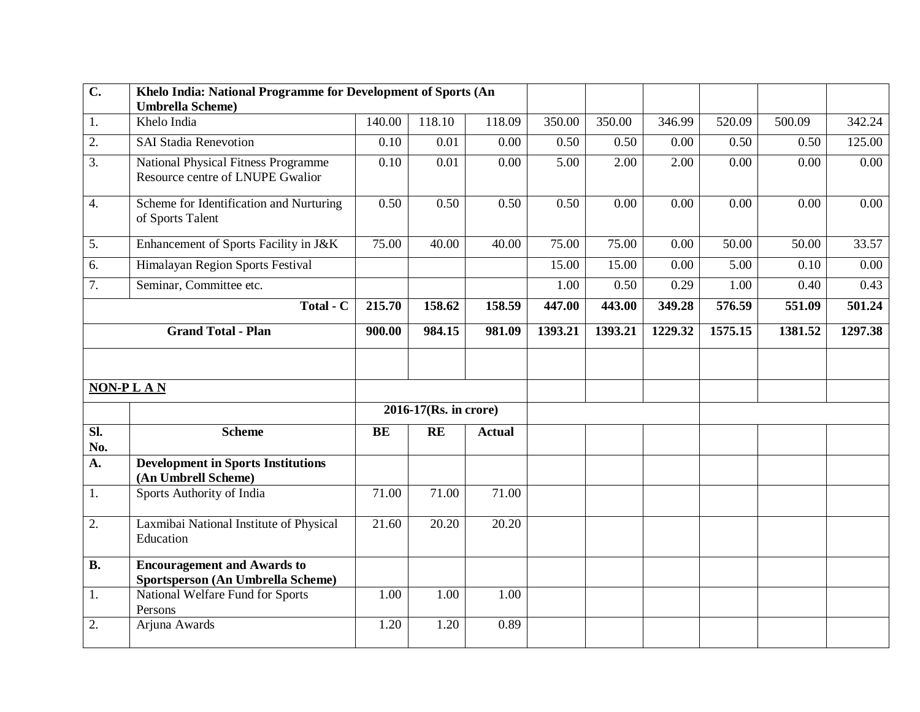| $\overline{C}$ .<br>Khelo India: National Programme for Development of Sports (An |                                                                         |        |                       |                   |         |         |         |         |         |         |
|-----------------------------------------------------------------------------------|-------------------------------------------------------------------------|--------|-----------------------|-------------------|---------|---------|---------|---------|---------|---------|
|                                                                                   | <b>Umbrella Scheme)</b>                                                 |        |                       |                   |         |         |         |         |         |         |
| 1.                                                                                | Khelo India                                                             | 140.00 | 118.10                | 118.09            | 350.00  | 350.00  | 346.99  | 520.09  | 500.09  | 342.24  |
| 2.                                                                                | <b>SAI Stadia Renevotion</b>                                            | 0.10   | 0.01                  | 0.00              | 0.50    | 0.50    | 0.00    | 0.50    | 0.50    | 125.00  |
| $\overline{3}$ .                                                                  | National Physical Fitness Programme<br>Resource centre of LNUPE Gwalior | 0.10   | 0.01                  | 0.00              | 5.00    | 2.00    | 2.00    | 0.00    | 0.00    | 0.00    |
| $\overline{4}$ .                                                                  | Scheme for Identification and Nurturing<br>of Sports Talent             | 0.50   | 0.50                  | 0.50              | 0.50    | 0.00    | 0.00    | 0.00    | 0.00    | 0.00    |
| 5.                                                                                | Enhancement of Sports Facility in J&K                                   | 75.00  | 40.00                 | 40.00             | 75.00   | 75.00   | 0.00    | 50.00   | 50.00   | 33.57   |
| 6.                                                                                | Himalayan Region Sports Festival                                        |        |                       |                   | 15.00   | 15.00   | 0.00    | 5.00    | 0.10    | 0.00    |
| 7.                                                                                | Seminar, Committee etc.                                                 |        |                       |                   | 1.00    | 0.50    | 0.29    | 1.00    | 0.40    | 0.43    |
|                                                                                   | Total - C                                                               | 215.70 | 158.62                | 158.59            | 447.00  | 443.00  | 349.28  | 576.59  | 551.09  | 501.24  |
|                                                                                   | <b>Grand Total - Plan</b>                                               | 900.00 | 984.15                | 981.09            | 1393.21 | 1393.21 | 1229.32 | 1575.15 | 1381.52 | 1297.38 |
|                                                                                   | NON-PLAN                                                                |        |                       |                   |         |         |         |         |         |         |
|                                                                                   |                                                                         |        | 2016-17(Rs. in crore) |                   |         |         |         |         |         |         |
| $\overline{sl.}$<br>No.                                                           | <b>Scheme</b>                                                           | BE     | <b>RE</b>             | <b>Actual</b>     |         |         |         |         |         |         |
| A.                                                                                | <b>Development in Sports Institutions</b><br>(An Umbrell Scheme)        |        |                       |                   |         |         |         |         |         |         |
| 1.                                                                                | Sports Authority of India                                               | 71.00  | 71.00                 | 71.00             |         |         |         |         |         |         |
| 2.                                                                                | Laxmibai National Institute of Physical<br>Education                    | 21.60  | 20.20                 | 20.20             |         |         |         |         |         |         |
| <b>B.</b>                                                                         | <b>Encouragement and Awards to</b><br>Sportsperson (An Umbrella Scheme) |        |                       |                   |         |         |         |         |         |         |
| 1.                                                                                | National Welfare Fund for Sports<br>Persons                             |        | 1.00                  | $\overline{1.00}$ |         |         |         |         |         |         |
| 2.                                                                                | Arjuna Awards                                                           |        | 1.20                  | 0.89              |         |         |         |         |         |         |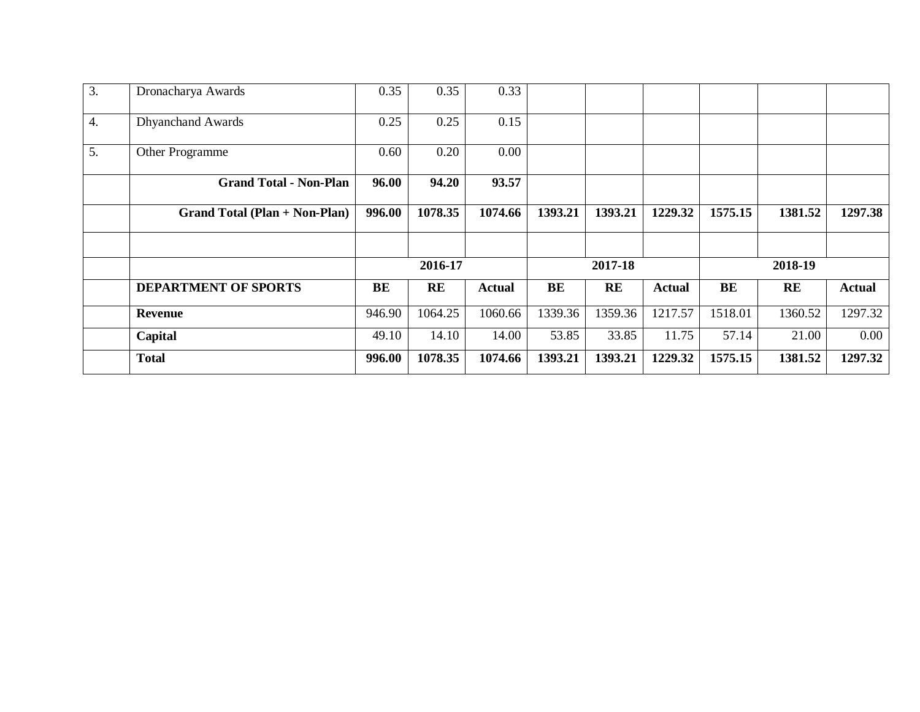| 3.               | Dronacharya Awards                   | 0.35   | 0.35      | 0.33          |         |         |         |         |           |               |
|------------------|--------------------------------------|--------|-----------|---------------|---------|---------|---------|---------|-----------|---------------|
| $\overline{4}$ . | <b>Dhyanchand Awards</b>             | 0.25   | 0.25      | 0.15          |         |         |         |         |           |               |
| 5.               | Other Programme                      | 0.60   | 0.20      | 0.00          |         |         |         |         |           |               |
|                  | <b>Grand Total - Non-Plan</b>        | 96.00  | 94.20     | 93.57         |         |         |         |         |           |               |
|                  | <b>Grand Total (Plan + Non-Plan)</b> | 996.00 | 1078.35   | 1074.66       | 1393.21 | 1393.21 | 1229.32 | 1575.15 | 1381.52   | 1297.38       |
|                  |                                      |        |           |               |         |         |         |         |           |               |
|                  |                                      |        | 2016-17   |               |         | 2017-18 |         |         | 2018-19   |               |
|                  | <b>DEPARTMENT OF SPORTS</b>          | BE     | <b>RE</b> | <b>Actual</b> | BE      | RE      | Actual  | BE      | <b>RE</b> | <b>Actual</b> |
|                  | <b>Revenue</b>                       | 946.90 | 1064.25   | 1060.66       | 1339.36 | 1359.36 | 1217.57 | 1518.01 | 1360.52   | 1297.32       |
|                  | Capital                              | 49.10  | 14.10     | 14.00         | 53.85   | 33.85   | 11.75   | 57.14   | 21.00     | 0.00          |
|                  | <b>Total</b>                         | 996.00 | 1078.35   | 1074.66       | 1393.21 | 1393.21 | 1229.32 | 1575.15 | 1381.52   | 1297.32       |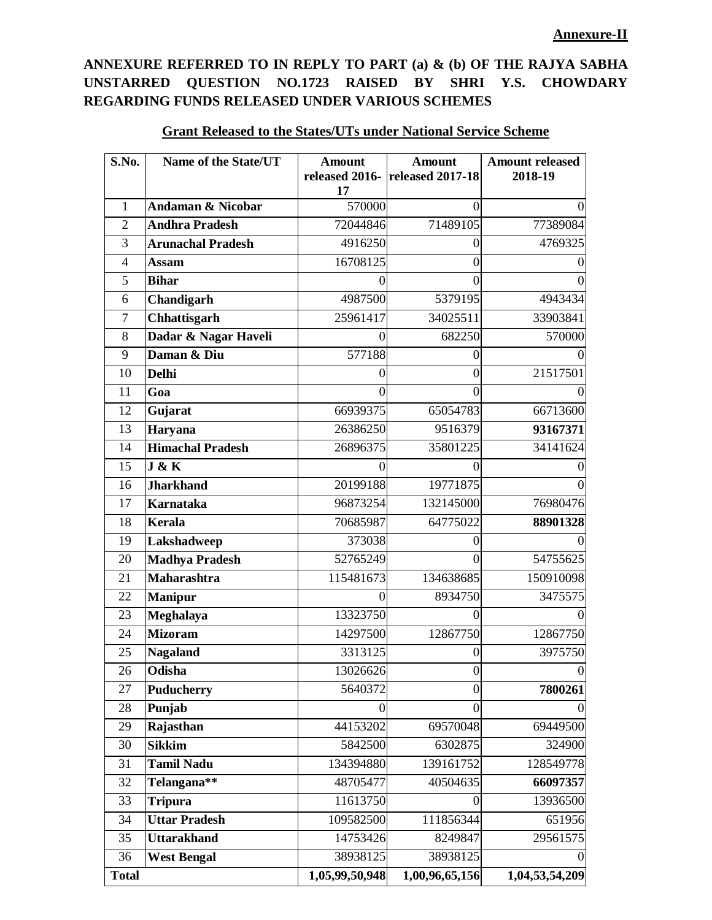# **ANNEXURE REFERRED TO IN REPLY TO PART (a) & (b) OF THE RAJYA SABHA UNSTARRED QUESTION NO.1723 RAISED BY SHRI Y.S. CHOWDARY REGARDING FUNDS RELEASED UNDER VARIOUS SCHEMES**

| S.No.          | Name of the State/UT         | <b>Amount</b>    | <b>Amount</b><br>released 2016- released 2017-18 | <b>Amount released</b><br>2018-19 |
|----------------|------------------------------|------------------|--------------------------------------------------|-----------------------------------|
|                |                              | 17               |                                                  |                                   |
| 1              | <b>Andaman &amp; Nicobar</b> | 570000           | $\Omega$                                         | $\Omega$                          |
| $\mathfrak{2}$ | <b>Andhra Pradesh</b>        | 72044846         | 71489105                                         | 77389084                          |
| 3              | <b>Arunachal Pradesh</b>     | 4916250          | $\Omega$                                         | 4769325                           |
| $\overline{4}$ | <b>Assam</b>                 | 16708125         | $\mathbf{0}$                                     | 0                                 |
| 5              | <b>Bihar</b>                 | 0                | 0                                                | $\Omega$                          |
| 6              | Chandigarh                   | 4987500          | 5379195                                          | 4943434                           |
| $\tau$         | Chhattisgarh                 | 25961417         | 34025511                                         | 33903841                          |
| 8              | Dadar & Nagar Haveli         | 0                | 682250                                           | 570000                            |
| 9              | Daman & Diu                  | 577188           | $\Omega$                                         |                                   |
| 10             | <b>Delhi</b>                 | $\boldsymbol{0}$ | $\mathbf{0}$                                     | 21517501                          |
| 11             | Goa                          | 0                | 0                                                |                                   |
| 12             | Gujarat                      | 66939375         | 65054783                                         | 66713600                          |
| 13             | Haryana                      | 26386250         | 9516379                                          | 93167371                          |
| 14             | <b>Himachal Pradesh</b>      | 26896375         | 35801225                                         | 34141624                          |
| 15             | J & K                        | 0                | $\mathbf{\Omega}$                                |                                   |
| 16             | <b>Jharkhand</b>             | 20199188         | 19771875                                         | $\Omega$                          |
| 17             | <b>Karnataka</b>             | 96873254         | 132145000                                        | 76980476                          |
| 18             | <b>Kerala</b>                | 70685987         | 64775022                                         | 88901328                          |
| 19             | Lakshadweep                  | 373038           | $\overline{0}$                                   |                                   |
| 20             | <b>Madhya Pradesh</b>        | 52765249         | 0                                                | 54755625                          |
| 21             | <b>Maharashtra</b>           | 115481673        | 134638685                                        | 150910098                         |
| 22             | <b>Manipur</b>               | 0                | 8934750                                          | 3475575                           |
| 23             | Meghalaya                    | 13323750         | $\Omega$                                         |                                   |
| 24             | <b>Mizoram</b>               | 14297500         | 12867750                                         | 12867750                          |
| 25             | <b>Nagaland</b>              | 3313125          | $\boldsymbol{0}$                                 | 3975750                           |
| 26             | Odisha                       | 13026626         | $\boldsymbol{0}$                                 | $\Omega$                          |
| 27             | <b>Puducherry</b>            | 5640372          | $\mathbf{0}$                                     | 7800261                           |
| 28             | Punjab                       | 0                | $\boldsymbol{0}$                                 | $\theta$                          |
| 29             | Rajasthan                    | 44153202         | 69570048                                         | 69449500                          |
| 30             | <b>Sikkim</b>                | 5842500          | 6302875                                          | 324900                            |
| 31             | <b>Tamil Nadu</b>            | 134394880        | 139161752                                        | 128549778                         |
| 32             | Telangana**                  | 48705477         | 40504635                                         | 66097357                          |
| 33             | <b>Tripura</b>               | 11613750         | 0                                                | 13936500                          |
| 34             | <b>Uttar Pradesh</b>         | 109582500        | 111856344                                        | 651956                            |
| 35             | <b>Uttarakhand</b>           | 14753426         | 8249847                                          | 29561575                          |
| 36             | <b>West Bengal</b>           | 38938125         | 38938125                                         |                                   |
| <b>Total</b>   |                              | 1,05,99,50,948   | 1,00,96,65,156                                   | 1,04,53,54,209                    |

## **Grant Released to the States/UTs under National Service Scheme**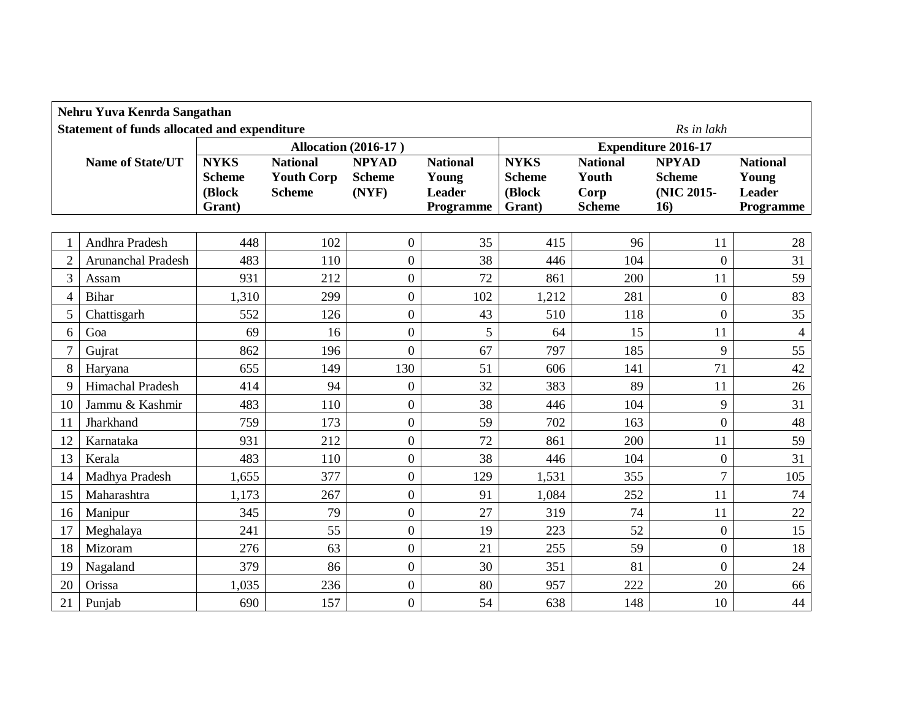| Nehru Yuva Kenrda Sangathan |                                                     |                  |                   |                             |                     |                  |                       |                            |                     |  |
|-----------------------------|-----------------------------------------------------|------------------|-------------------|-----------------------------|---------------------|------------------|-----------------------|----------------------------|---------------------|--|
|                             | <b>Statement of funds allocated and expenditure</b> |                  |                   |                             |                     |                  |                       | Rs in lakh                 |                     |  |
|                             |                                                     |                  |                   | <b>Allocation (2016-17)</b> |                     |                  |                       | <b>Expenditure 2016-17</b> |                     |  |
|                             | <b>Name of State/UT</b>                             | <b>NYKS</b>      | <b>National</b>   | <b>NPYAD</b>                | <b>National</b>     | <b>NYKS</b>      | <b>National</b>       | <b>NPYAD</b>               | <b>National</b>     |  |
|                             |                                                     | <b>Scheme</b>    | <b>Youth Corp</b> | <b>Scheme</b>               | Young               | <b>Scheme</b>    | Youth                 | <b>Scheme</b>              | Young               |  |
|                             |                                                     | (Block<br>Grant) | <b>Scheme</b>     | (NYF)                       | Leader<br>Programme | (Block<br>Grant) | Corp<br><b>Scheme</b> | (NIC 2015-<br>16)          | Leader<br>Programme |  |
|                             |                                                     |                  |                   |                             |                     |                  |                       |                            |                     |  |
|                             | Andhra Pradesh                                      | 448              | 102               | $\overline{0}$              | 35                  | 415              | 96                    | 11                         | 28                  |  |
| $\overline{c}$              | <b>Arunanchal Pradesh</b>                           | 483              | 110               | $\boldsymbol{0}$            | 38                  | 446              | 104                   | $\overline{0}$             | 31                  |  |
| 3                           | Assam                                               | 931              | 212               | $\boldsymbol{0}$            | 72                  | 861              | 200                   | 11                         | 59                  |  |
| 4                           | Bihar                                               | 1,310            | 299               | $\overline{0}$              | 102                 | 1,212            | 281                   | $\overline{0}$             | 83                  |  |
| 5                           | Chattisgarh                                         | 552              | 126               | $\boldsymbol{0}$            | 43                  | 510              | 118                   | $\boldsymbol{0}$           | 35                  |  |
| 6                           | Goa                                                 | 69               | 16                | $\boldsymbol{0}$            | 5                   | 64               | 15                    | 11                         | $\overline{4}$      |  |
| $\overline{7}$              | Gujrat                                              | 862              | 196               | $\overline{0}$              | 67                  | 797              | 185                   | 9                          | 55                  |  |
| 8                           | Haryana                                             | 655              | 149               | 130                         | 51                  | 606              | 141                   | 71                         | 42                  |  |
| 9                           | Himachal Pradesh                                    | 414              | 94                | $\overline{0}$              | 32                  | 383              | 89                    | 11                         | 26                  |  |
| 10                          | Jammu & Kashmir                                     | 483              | 110               | 0                           | 38                  | 446              | 104                   | 9                          | 31                  |  |
| 11                          | Jharkhand                                           | 759              | 173               | $\boldsymbol{0}$            | 59                  | 702              | 163                   | $\boldsymbol{0}$           | 48                  |  |
| 12                          | Karnataka                                           | 931              | 212               | $\overline{0}$              | 72                  | 861              | 200                   | 11                         | 59                  |  |
| 13                          | Kerala                                              | 483              | 110               | $\boldsymbol{0}$            | 38                  | 446              | 104                   | $\boldsymbol{0}$           | 31                  |  |
| 14                          | Madhya Pradesh                                      | 1,655            | 377               | $\overline{0}$              | 129                 | 1,531            | 355                   | $\overline{7}$             | 105                 |  |
| 15                          | Maharashtra                                         | 1,173            | 267               | $\boldsymbol{0}$            | 91                  | 1,084            | 252                   | 11                         | 74                  |  |
| 16                          | Manipur                                             | 345              | 79                | $\boldsymbol{0}$            | 27                  | 319              | 74                    | 11                         | 22                  |  |
| 17                          | Meghalaya                                           | 241              | 55                | $\boldsymbol{0}$            | 19                  | 223              | 52                    | $\overline{0}$             | 15                  |  |
| 18                          | Mizoram                                             | 276              | 63                | $\overline{0}$              | 21                  | 255              | 59                    | $\overline{0}$             | 18                  |  |
| 19                          | Nagaland                                            | 379              | 86                | $\boldsymbol{0}$            | 30                  | 351              | 81                    | $\overline{0}$             | 24                  |  |
| 20                          | Orissa                                              | 1,035            | 236               | $\boldsymbol{0}$            | 80                  | 957              | 222                   | 20                         | 66                  |  |
| 21                          | Punjab                                              | 690              | 157               | $\boldsymbol{0}$            | 54                  | 638              | 148                   | 10                         | 44                  |  |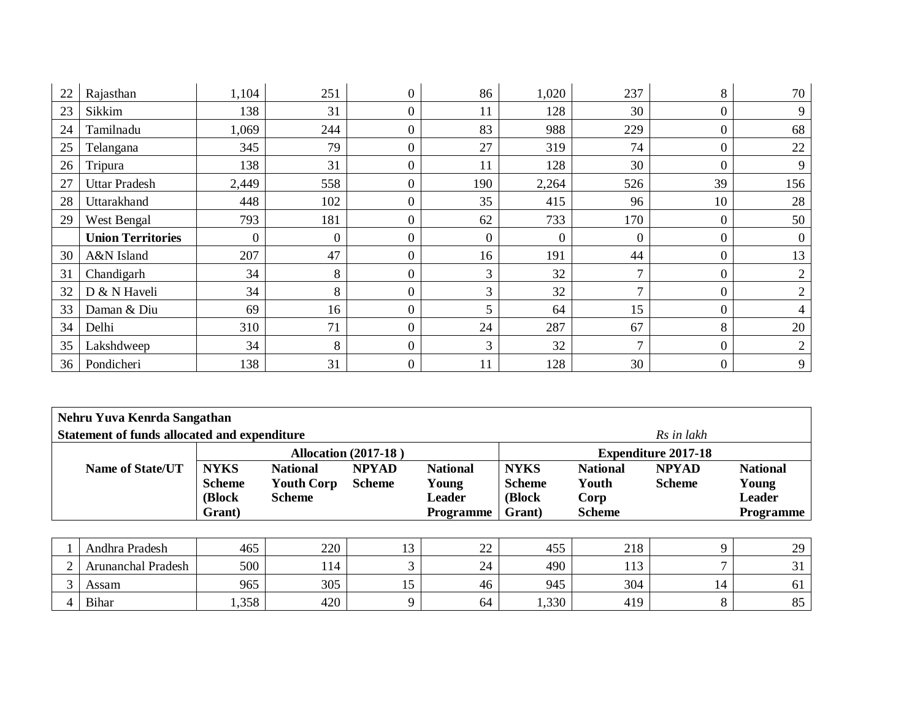| 22 | Rajasthan                | 1,104            | 251              | $\overline{0}$ | 86           | 1,020            | 237            | 8                | 70             |
|----|--------------------------|------------------|------------------|----------------|--------------|------------------|----------------|------------------|----------------|
| 23 | Sikkim                   | 138              | 31               | 0              | 11           | 128              | 30             | $\boldsymbol{0}$ | 9              |
| 24 | Tamilnadu                | 1,069            | 244              | 0              | 83           | 988              | 229            | $\boldsymbol{0}$ | 68             |
| 25 | Telangana                | 345              | 79               | $\overline{0}$ | 27           | 319              | 74             | $\boldsymbol{0}$ | 22             |
| 26 | Tripura                  | 138              | 31               | 0              | 11           | 128              | 30             | $\boldsymbol{0}$ | 9              |
| 27 | <b>Uttar Pradesh</b>     | 2,449            | 558              | $\theta$       | 190          | 2,264            | 526            | 39               | 156            |
| 28 | Uttarakhand              | 448              | 102              | 0              | 35           | 415              | 96             | 10               | 28             |
| 29 | West Bengal              | 793              | 181              | 0              | 62           | 733              | 170            | $\boldsymbol{0}$ | 50             |
|    | <b>Union Territories</b> | $\boldsymbol{0}$ | $\boldsymbol{0}$ | $\theta$       | $\mathbf{0}$ | $\boldsymbol{0}$ | $\overline{0}$ | $\boldsymbol{0}$ | $\theta$       |
| 30 | A&N Island               | 207              | 47               | $\Omega$       | 16           | 191              | 44             | $\boldsymbol{0}$ | 13             |
| 31 | Chandigarh               | 34               | 8                | 0              | 3            | 32               | $\mathbf{r}$   | $\overline{0}$   | $\overline{2}$ |
| 32 | D & N Haveli             | 34               | 8                | 0              | 3            | 32               | $\mathcal{I}$  | $\overline{0}$   | $\overline{2}$ |
| 33 | Daman & Diu              | 69               | 16               | $\theta$       | 5            | 64               | 15             | $\overline{0}$   | 4              |
| 34 | Delhi                    | 310              | 71               | $\Omega$       | 24           | 287              | 67             | 8                | 20             |
| 35 | Lakshdweep               | 34               | 8                | $\overline{0}$ | 3            | 32               | $\tau$         | $\boldsymbol{0}$ | $\overline{2}$ |
| 36 | Pondicheri               | 138              | 31               | $\overline{0}$ | 11           | 128              | 30             | $\boldsymbol{0}$ | 9              |

| Nehru Yuva Kenrda Sangathan                  |                              |                                      |                               |                            |                              |                          |    |                                   |  |  |  |
|----------------------------------------------|------------------------------|--------------------------------------|-------------------------------|----------------------------|------------------------------|--------------------------|----|-----------------------------------|--|--|--|
| Statement of funds allocated and expenditure |                              |                                      |                               | Rs in lakh                 |                              |                          |    |                                   |  |  |  |
|                                              |                              | <b>Allocation (2017-18)</b>          | <b>Expenditure 2017-18</b>    |                            |                              |                          |    |                                   |  |  |  |
| <b>Name of State/UT</b>                      | <b>NYKS</b><br><b>Scheme</b> | <b>National</b><br><b>Youth Corp</b> | <b>NPYAD</b><br><b>Scheme</b> | <b>National</b><br>Young   | <b>NYKS</b><br><b>Scheme</b> | <b>National</b><br>Young |    |                                   |  |  |  |
|                                              | (Block)<br>Grant)            | <b>Scheme</b>                        |                               | <b>Leader</b><br>Programme | (Block)<br>Grant)            | Corp<br><b>Scheme</b>    |    | <b>Leader</b><br><b>Programme</b> |  |  |  |
|                                              |                              |                                      |                               |                            |                              |                          |    |                                   |  |  |  |
| Andhra Pradesh                               | 465                          | 220                                  | 13                            | 22                         | 455                          | 218                      | 9  | 29                                |  |  |  |
| Arunanchal Pradesh                           | 500                          | 114                                  | $\sim$                        | 24                         | 490                          | 113                      | ⇁  | 31                                |  |  |  |
| Assam                                        | 965                          | 305                                  | 15                            | 46                         | 945                          | 304                      | 14 | 61                                |  |  |  |
| <b>Bihar</b>                                 | 1,358                        | 420                                  | Q                             | 64                         | 1,330                        | 419                      | 8  | 85                                |  |  |  |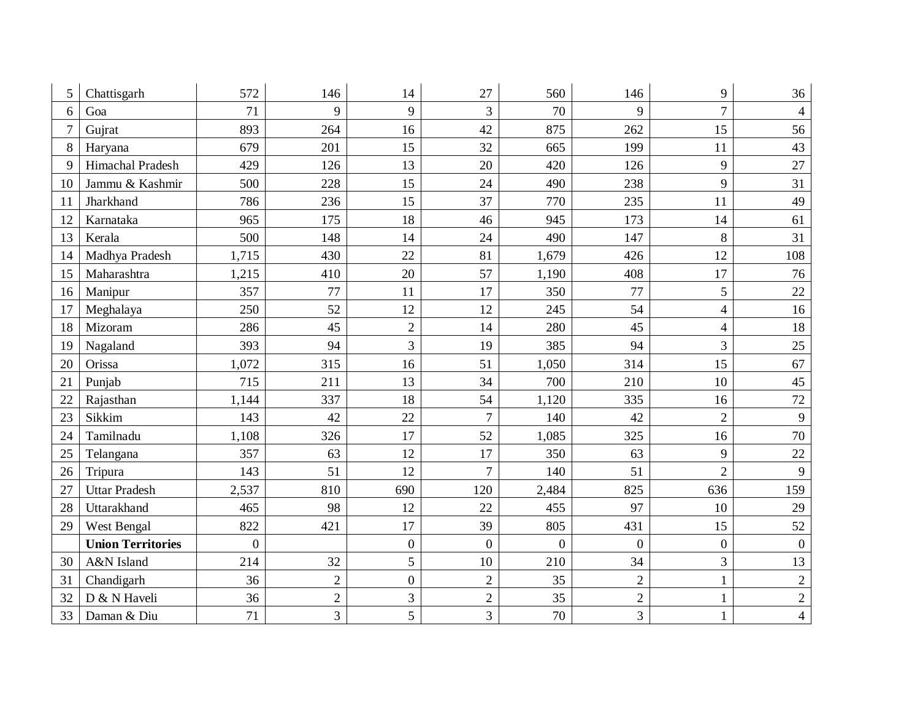| 5  | Chattisgarh              | 572            | 146            | 14             | 27             | 560            | 146            | 9                | 36             |
|----|--------------------------|----------------|----------------|----------------|----------------|----------------|----------------|------------------|----------------|
| 6  | Goa                      | 71             | 9              | 9              | 3              | 70             | 9              | $\overline{7}$   | $\overline{4}$ |
| 7  | Gujrat                   | 893            | 264            | 16             | 42             | 875            | 262            | 15               | 56             |
| 8  | Haryana                  | 679            | 201            | 15             | 32             | 665            | 199            | 11               | 43             |
| 9  | Himachal Pradesh         | 429            | 126            | 13             | 20             | 420            | 126            | 9                | 27             |
| 10 | Jammu & Kashmir          | 500            | 228            | 15             | 24             | 490            | 238            | 9                | 31             |
| 11 | Jharkhand                | 786            | 236            | 15             | 37             | 770            | 235            | 11               | 49             |
| 12 | Karnataka                | 965            | 175            | 18             | 46             | 945            | 173            | 14               | 61             |
| 13 | Kerala                   | 500            | 148            | 14             | 24             | 490            | 147            | 8                | 31             |
| 14 | Madhya Pradesh           | 1,715          | 430            | 22             | 81             | 1,679          | 426            | 12               | 108            |
| 15 | Maharashtra              | 1,215          | 410            | 20             | 57             | 1,190          | 408            | 17               | 76             |
| 16 | Manipur                  | 357            | 77             | 11             | 17             | 350            | 77             | 5                | 22             |
| 17 | Meghalaya                | 250            | 52             | 12             | 12             | 245            | 54             | $\overline{4}$   | 16             |
| 18 | Mizoram                  | 286            | 45             | $\overline{2}$ | 14             | 280            | 45             | $\overline{4}$   | 18             |
| 19 | Nagaland                 | 393            | 94             | 3              | 19             | 385            | 94             | 3                | 25             |
| 20 | Orissa                   | 1,072          | 315            | 16             | 51             | 1,050          | 314            | 15               | 67             |
| 21 | Punjab                   | 715            | 211            | 13             | 34             | 700            | 210            | 10               | 45             |
| 22 | Rajasthan                | 1,144          | 337            | 18             | 54             | 1,120          | 335            | 16               | 72             |
| 23 | Sikkim                   | 143            | 42             | 22             | $\overline{7}$ | 140            | 42             | $\overline{2}$   | 9              |
| 24 | Tamilnadu                | 1,108          | 326            | 17             | 52             | 1,085          | 325            | 16               | 70             |
| 25 | Telangana                | 357            | 63             | 12             | 17             | 350            | 63             | 9                | 22             |
| 26 | Tripura                  | 143            | 51             | 12             | $\overline{7}$ | 140            | 51             | $\overline{2}$   | 9              |
| 27 | <b>Uttar Pradesh</b>     | 2,537          | 810            | 690            | 120            | 2,484          | 825            | 636              | 159            |
| 28 | Uttarakhand              | 465            | 98             | 12             | 22             | 455            | 97             | 10               | 29             |
| 29 | West Bengal              | 822            | 421            | 17             | 39             | 805            | 431            | 15               | 52             |
|    | <b>Union Territories</b> | $\overline{0}$ |                | $\overline{0}$ | $\overline{0}$ | $\overline{0}$ | $\overline{0}$ | $\boldsymbol{0}$ | $\overline{0}$ |
| 30 | A&N Island               | 214            | 32             | 5              | 10             | 210            | 34             | $\overline{3}$   | 13             |
| 31 | Chandigarh               | 36             | $\overline{2}$ | $\overline{0}$ | $\overline{2}$ | 35             | $\overline{2}$ | $\mathbf{1}$     | $\overline{2}$ |
| 32 | D & N Haveli             | 36             | $\overline{c}$ | 3              | $\sqrt{2}$     | 35             | $\overline{2}$ | $\mathbf{1}$     | $\sqrt{2}$     |
| 33 | Daman & Diu              | 71             | $\overline{3}$ | 5              | $\overline{3}$ | 70             | 3              | $\mathbf{1}$     | $\overline{4}$ |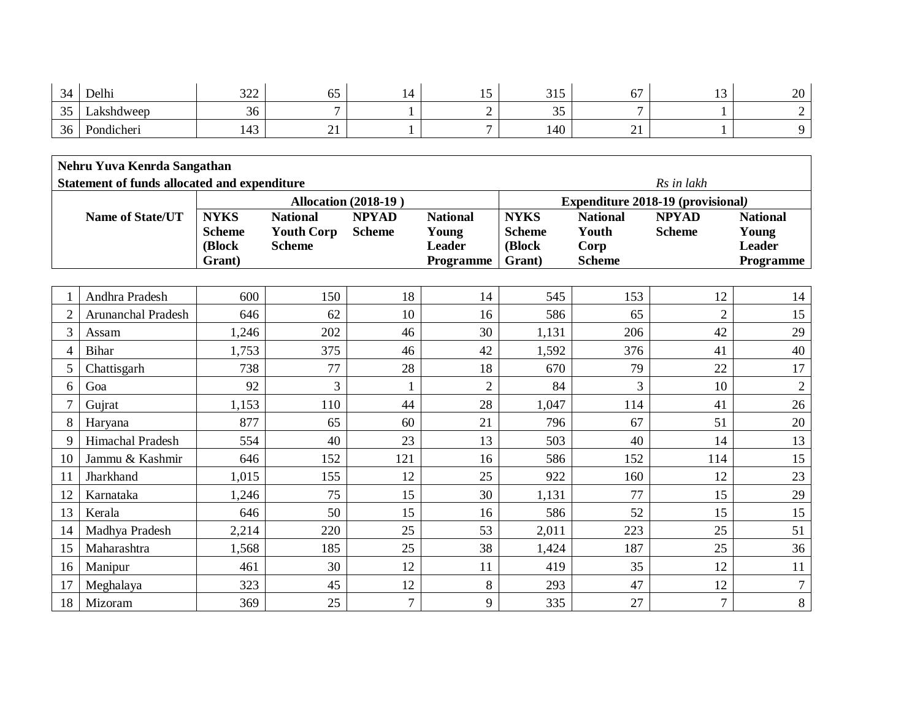| $\bigcap$<br>-34<br>$\overline{\phantom{a}}$ | Delhi      | 222<br>ىسەر       | --<br>◡                  | . <b>.</b><br>ື້ | $\bigcap_{i=1}^n$<br><u>JIJ</u> | --<br>07      | $\sim$<br>⊥ັ | 20 |
|----------------------------------------------|------------|-------------------|--------------------------|------------------|---------------------------------|---------------|--------------|----|
| $\sim$ $\sim$<br>ັບ                          | Lakshdweep | $\sim$<br>36      | $\overline{\phantom{0}}$ | -                | $\sim$ $\sim$<br>ັບ             |               |              |    |
| 36<br>JU.                                    | Pondicheri | $\sqrt{2}$<br>⊥⊤◡ | $\sim$ 1<br><u>_</u>     |                  | 140                             | $\sim$<br>- - |              |    |

| Nehru Yuva Kenrda Sangathan |                                              |                         |                                    |                             |                        |                                          |                       |                |                        |  |  |  |
|-----------------------------|----------------------------------------------|-------------------------|------------------------------------|-----------------------------|------------------------|------------------------------------------|-----------------------|----------------|------------------------|--|--|--|
|                             | Statement of funds allocated and expenditure |                         |                                    |                             |                        |                                          |                       | Rs in lakh     |                        |  |  |  |
|                             |                                              |                         |                                    | <b>Allocation (2018-19)</b> |                        | <b>Expenditure 2018-19 (provisional)</b> |                       |                |                        |  |  |  |
|                             | <b>Name of State/UT</b>                      | <b>NYKS</b>             | <b>National</b>                    | <b>NPYAD</b>                | <b>National</b>        | <b>NYKS</b>                              | <b>National</b>       | <b>NPYAD</b>   | <b>National</b>        |  |  |  |
|                             |                                              | <b>Scheme</b><br>(Block | <b>Youth Corp</b><br><b>Scheme</b> | <b>Scheme</b>               | Young<br><b>Leader</b> | <b>Scheme</b><br>(Block                  | Youth                 | <b>Scheme</b>  | Young<br><b>Leader</b> |  |  |  |
|                             |                                              | Grant)                  |                                    |                             | Programme              | Grant)                                   | Corp<br><b>Scheme</b> |                | Programme              |  |  |  |
|                             |                                              |                         |                                    |                             |                        |                                          |                       |                |                        |  |  |  |
|                             | Andhra Pradesh                               | 600                     | 150                                | 18                          | 14                     | 545                                      | 153                   | 12             | 14                     |  |  |  |
| $\overline{2}$              | Arunanchal Pradesh                           | 646                     | 62                                 | 10                          | 16                     | 586                                      | 65                    | $\overline{2}$ | 15                     |  |  |  |
| 3                           | Assam                                        | 1,246                   | 202                                | 46                          | 30                     | 1,131                                    | 206                   | 42             | 29                     |  |  |  |
| 4                           | <b>Bihar</b>                                 | 1,753                   | 375                                | 46                          | 42                     | 1,592                                    | 376                   | 41             | 40                     |  |  |  |
| 5                           | Chattisgarh                                  | 738                     | 77                                 | 28                          | 18                     | 670                                      | 79                    | 22             | 17                     |  |  |  |
| 6                           | Goa                                          | 92                      | 3                                  |                             | $\overline{2}$         | 84                                       | 3                     | 10             | $\sqrt{2}$             |  |  |  |
|                             | Gujrat                                       | 1,153                   | 110                                | 44                          | 28                     | 1,047                                    | 114                   | 41             | 26                     |  |  |  |
| 8                           | Haryana                                      | 877                     | 65                                 | 60                          | 21                     | 796                                      | 67                    | 51             | 20                     |  |  |  |
| 9                           | Himachal Pradesh                             | 554                     | 40                                 | 23                          | 13                     | 503                                      | 40                    | 14             | 13                     |  |  |  |
| 10                          | Jammu & Kashmir                              | 646                     | 152                                | 121                         | 16                     | 586                                      | 152                   | 114            | 15                     |  |  |  |
| 11                          | Jharkhand                                    | 1,015                   | 155                                | 12                          | 25                     | 922                                      | 160                   | 12             | 23                     |  |  |  |
| 12                          | Karnataka                                    | 1,246                   | 75                                 | 15                          | 30                     | 1,131                                    | 77                    | 15             | 29                     |  |  |  |
| 13                          | Kerala                                       | 646                     | 50                                 | 15                          | 16                     | 586                                      | 52                    | 15             | 15                     |  |  |  |
| 14                          | Madhya Pradesh                               | 2,214                   | 220                                | 25                          | 53                     | 2,011                                    | 223                   | 25             | 51                     |  |  |  |
| 15                          | Maharashtra                                  | 1,568                   | 185                                | 25                          | 38                     | 1,424                                    | 187                   | 25             | 36                     |  |  |  |
| 16                          | Manipur                                      | 461                     | 30                                 | 12                          | 11                     | 419                                      | 35                    | 12             | 11                     |  |  |  |
| 17                          | Meghalaya                                    | 323                     | 45                                 | 12                          | 8                      | 293                                      | 47                    | 12             | $\overline{7}$         |  |  |  |
| 18                          | Mizoram                                      | 369                     | 25                                 | $\overline{7}$              | 9                      | 335                                      | 27                    | $\overline{7}$ | 8                      |  |  |  |